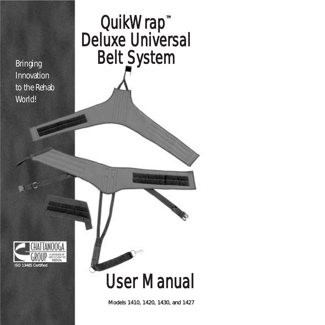Bringing Innovation to the Rehab World!<sup>™</sup>

# QuikWrap<sup>™</sup> Deluxe Universal Belt System



# User Manual

Models 1410, 1420, 1430, and 1427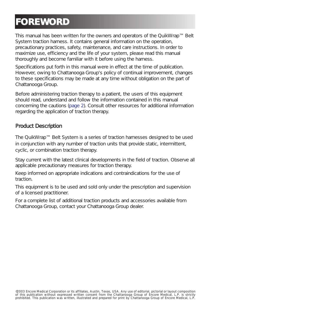### **FOREWORD**

This manual has been written for the owners and operators of the QuikWrap™ Belt System traction harness. It contains general information on the operation, precautionary practices, safety, maintenance, and care instructions. In order to maximize use, efficiency and the life of your system, please read this manual thoroughly and become familiar with it before using the harness.

Specifications put forth in this manual were in effect at the time of publication. However, owing to Chattanooga Group's policy of continual improvement, changes to these specifications may be made at any time without obligation on the part of Chattanooga Group.

Before administering traction therapy to a patient, the users of this equipment should read, understand and follow the information contained in this manual concerning the cautions (page 2). Consult other resources for additional information regarding the application of traction therapy.

#### Product Description

The QuikWrap™ Belt System is a series of traction harnesses designed to be used in conjunction with any number of traction units that provide static, intermittent, cyclic, or combination traction therapy.

Stay current with the latest clinical developments in the field of traction. Observe all applicable precautionary measures for traction therapy.

Keep informed on appropriate indications and contraindications for the use of traction.

This equipment is to be used and sold only under the prescription and supervision of a licensed practitioner.

For a complete list of additional traction products and accessories available from Chattanooga Group, contact your Chattanooga Group dealer.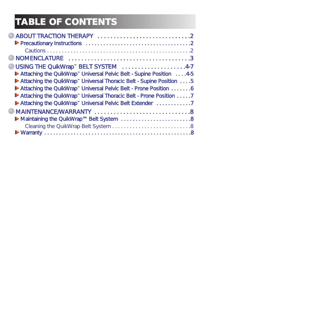# **TABLE OF CONTENTS**

| USING THE QuikWrap <sup>™</sup> BELT SYSTEM 4-7                                  |
|----------------------------------------------------------------------------------|
| Attaching the QuikWrap <sup>**</sup> Universal Pelvic Belt - Supine Position 4-5 |
| Attaching the QuikWrap <sup>**</sup> Universal Thoracic Belt - Supine Position 5 |
| Attaching the QuikWrap <sup>**</sup> Universal Pelvic Belt - Prone Position 6    |
| Attaching the QuikWrap <sup>**</sup> Universal Thoracic Belt - Prone Position 7  |
| Attaching the QuikWrap <sup>**</sup> Universal Pelvic Belt Extender 7            |
|                                                                                  |
|                                                                                  |
|                                                                                  |
|                                                                                  |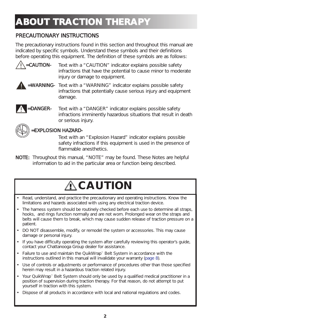### **ABOUT TRACTION THERAPY**

#### PRECAUTIONARY INSTRUCTIONS

The precautionary instructions found in this section and throughout this manual are indicated by specific symbols. Understand these symbols and their definitions before operating this equipment. The definition of these symbols are as follows:



- **=CAUTION-** Text with a "CAUTION" indicator explains possible safety infractions that have the potential to cause minor to moderate injury or damage to equipment.
- 0
	- =WARNING- Text with a "WARNING" indicator explains possible safety infractions that potentially cause serious injury and equipment damage.

```
!
```
=DANGER- Text with a "DANGER" indicator explains possible safety infractions imminently hazardous situations that result in death or serious injury.



#### =EXPLOSION HAZARD-

Text with an "Explosion Hazard" indicator explains possible safety infractions if this equipment is used in the presence of flammable anesthetics.

NOTE: Throughout this manual, "NOTE" may be found. These Notes are helpful information to aid in the particular area or function being described.

### **CAUTION**

- Read, understand, and practice the precautionary and operating instructions. Know the limitations and hazards associated with using any electrical traction device.
- The harness system should be routinely checked before each use to determine all straps, hooks, and rings function normally and are not worn. Prolonged wear on the straps and belts will cause them to break, which may cause sudden release of traction pressure on a patient.
- DO NOT disassemble, modify, or remodel the system or accessories. This may cause damage or personal injury.
- If you have difficulty operating the system after carefully reviewing this operator's quide, contact your Chattanooga Group dealer for assistance.
- Failure to use and maintain the QuikWrap™ Belt System in accordance with the instructions outlined in this manual will invalidate your warranty (page 8).
- Use of controls or adjustments or performance of procedures other than those specified herein may result in a hazardous traction related injury.
- Your QuikWrap™ Belt System should only be used by a qualified medical practitioner in a position of supervision during traction therapy. For that reason, do not attempt to put yourself in traction with this system.
- Dispose of all products in accordance with local and national regulations and codes.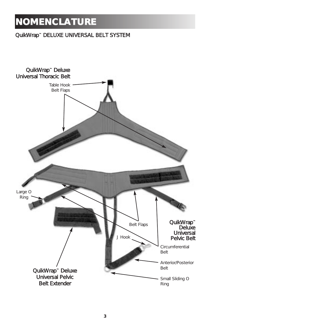### **NOMENCLATURE**

#### QuikWrap™ DELUXE UNIVERSAL BELT SYSTEM

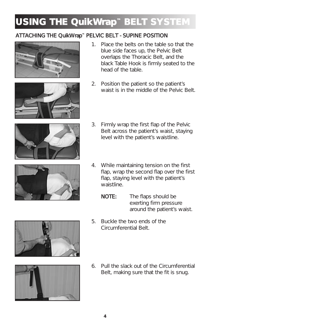#### ATTACHING THE QuikWrap™ PELVIC BELT - SUPINE POSITION





- 1. Place the belts on the table so that the blue side faces up, the Pelvic Belt overlaps the Thoracic Belt, and the black Table Hook is firmly seated to the head of the table.
- 2. Position the patient so the patient's waist is in the middle of the Pelvic Belt.



- 3. Firmly wrap the first flap of the Pelvic Belt across the patient's waist, staying level with the patient's waistline.
- 4. While maintaining tension on the first flap, wrap the second flap over the first flap, staying level with the patient's waistline.
	- NOTE: The flaps should be exerting firm pressure around the patient's waist.
- 5. Buckle the two ends of the Circumferential Belt.
- 6. Pull the slack out of the Circumferential Belt, making sure that the fit is snug.



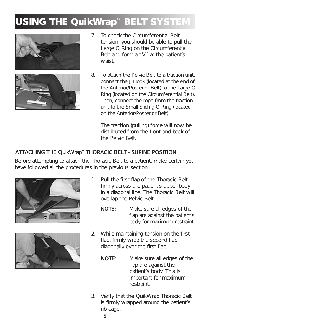



- 7. To check the Circumferential Belt tension, you should be able to pull the Large O Ring on the Circumferential Belt and form a "V" at the patient's waist.
- 8. To attach the Pelvic Belt to a traction unit, connect the J Hook (located at the end of the Anterior/Posterior Belt) to the Large O Ring (located on the Circumferential Belt). Then, connect the rope from the traction unit to the Small Sliding O Ring (located on the Anterior/Posterior Belt).

The traction (pulling) force will now be distributed from the front and back of the Pelvic Belt.

#### ATTACHING THE QuikWrap™ THORACIC BELT - SUPINE POSITION

Before attempting to attach the Thoracic Belt to a patient, make certain you have followed all the procedures in the previous section.





- 1. Pull the first flap of the Thoracic Belt firmly across the patient's upper body in a diagonal line. The Thoracic Belt will overlap the Pelvic Belt.
	- NOTE: Make sure all edges of the flap are against the patient's body for maximum restraint.
- 2. While maintaining tension on the first flap, firmly wrap the second flap diagonally over the first flap.
	- NOTE: Make sure all edges of the flap are against the patient's body. This is important for maximum restraint.
- 3. Verify that the QuikWrap Thoracic Belt is firmly wrapped around the patient's rib cage.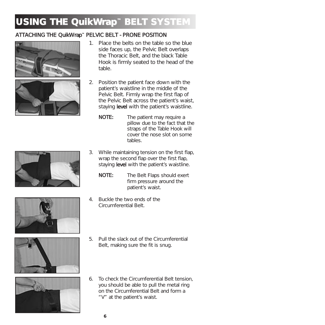#### ATTACHING THE QuikWrap™ PELVIC BELT - PRONE POSITION





- 1. Place the belts on the table so the blue side faces up, the Pelvic Belt overlaps the Thoracic Belt, and the black Table Hook is firmly seated to the head of the table.
- 2. Position the patient face down with the patient's waistline in the middle of the Pelvic Belt. Firmly wrap the first flap of the Pelvic Belt across the patient's waist, staying level with the patient's waistline.
	- NOTE: The patient may require a pillow due to the fact that the straps of the Table Hook will cover the nose slot on some tables.
- 
- 3. While maintaining tension on the first flap, wrap the second flap over the first flap, staying **level** with the patient's waistline.
	- NOTE: The Belt Flaps should exert firm pressure around the patient's waist.
- 4. Buckle the two ends of the Circumferential Belt.







- 5. Pull the slack out of the Circumferential Belt, making sure the fit is snug.
- 6. To check the Circumferential Belt tension, you should be able to pull the metal ring on the Circumferential Belt and form a "V" at the patient's waist.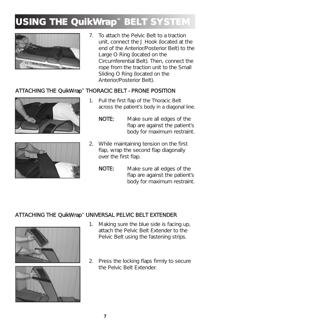

7. To attach the Pelvic Belt to a traction unit, connect the J Hook (located at the end of the Anterior/Posterior Belt) to the Large O Ring (located on the Circumferential Belt). Then, connect the rope from the traction unit to the Small Sliding O Ring (located on the Anterior/Posterior Belt).

#### ATTACHING THE QuikWrap™ THORACIC BELT - PRONE POSITION





- 1. Pull the first flap of the Thoracic Belt across the patient's body in a diagonal line.
	- NOTE: Make sure all edges of the flap are against the patient's body for maximum restraint.
- 2. While maintaining tension on the first flap, wrap the second flap diagonally over the first flap.
	- NOTE: Make sure all edges of the flap are against the patient's body for maximum restraint.

#### ATTACHING THE QuikWrap™ UNIVERSAL PELVIC BELT EXTENDER





- 1. Making sure the blue side is facing up, attach the Pelvic Belt Extender to the Pelvic Belt using the fastening strips.
- 2. Press the locking flaps firmly to secure the Pelvic Belt Extender.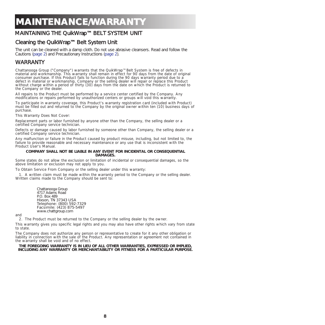### **MAINTENANCE/WARRANTY**

#### MAINTAINING THE QuikWrap™ BELT SYSTEM UNIT

#### Cleaning the QuikWrap™ Belt System Unit

The unit can be cleaned with a damp cloth. Do not use abrasive cleansers. Read and follow the Cautions (page 2) and Precautionary Instructions (page 2).

#### **WARRANTY**

Chattanooga Group ("Company") warrants that the QuikWrap™ Belt System is free of defects in<br>material and workmanship. This warranty shall remain in effect for 90 days from the date of original<br>consumer purchase. If this P defect in material or workmanship, Company or the selling dealer will repair or replace this Product without charge within a period of thirty (30) days from the date on which the Product is returned to the Company or the dealer.

All repairs to the Product must be performed by a service center certified by the Company. Any modifications or repairs performed by unauthorized centers or groups will void this warranty.

To participate in warranty coverage, this Product's warranty registration card (included with Product) must be filled out and returned to the Company by the original owner within ten (10) business days of purchase.

This Warranty Does Not Cover:

Replacement parts or labor furnished by anyone other than the Company, the selling dealer or a certified Company service technician.

Defects or damage caused by labor furnished by someone other than Company, the selling dealer or a certified Company service technician.

Any malfunction or failure in the Product caused by product misuse, including, but not limited to, the failure to provide reasonable and necessary maintenance or any use that is inconsistent with the Product User's Manual.

#### **COMPANY SHALL NOT BE LIABLE IN ANY EVENT FOR INCIDENTAL OR CONSEQUENTIAL DAMAGES.**

Some states do not allow the exclusion or limitation of incidental or consequential damages, so the above limitation or exclusion may not apply to you.

To Obtain Service From Company or the selling dealer under this warranty:

1. A written claim must be made within the warranty period to the Company or the selling dealer. Written claims made to the Company should be sent to:

> Chattanooga Group 4717 Adams Road P.O. Box 489 Hixson, TN 37343 USA Telephone: (800) 592-7329 Facsimile: (423) 875-5497 www.chattgroup.com

and

2. The Product must be returned to the Company or the selling dealer by the owner.

This warranty gives you specific legal rights and you may also have other rights which vary from state to state.

The Company does not authorize any person or representative to create for it any other obligation or liability in connection with the sale of the Product. Any representation or agreement not contained in the warranty shall be void and of no effect.

**THE FOREGOING WARRANTY IS IN LIEU OF ALL OTHER WARRANTIES, EXPRESSED OR IMPLIED, INCLUDING ANY WARRANTY OR MERCHANTABILITY OR FITNESS FOR A PARTICULAR PURPOSE.**